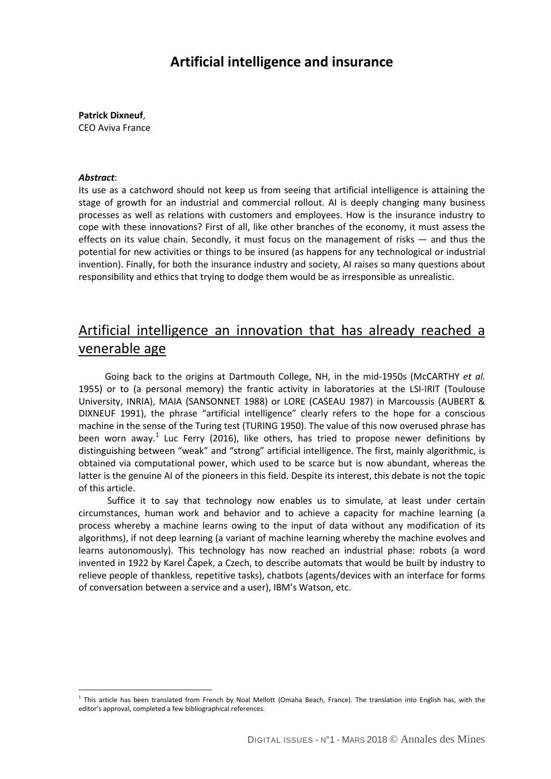### **Artificial intelligence and insurance**

**Patrick Dixneuf**, CEO Aviva France

#### *Abstract*:

 $\overline{a}$ 

Its use as a catchword should not keep us from seeing that artificial intelligence is attaining the stage of growth for an industrial and commercial rollout. AI is deeply changing many business processes as well as relations with customers and employees. How is the insurance industry to cope with these innovations? First of all, like other branches of the economy, it must assess the effects on its value chain. Secondly, it must focus on the management of risks — and thus the potential for new activities or things to be insured (as happens for any technological or industrial invention). Finally, for both the insurance industry and society, AI raises so many questions about responsibility and ethics that trying to dodge them would be as irresponsible as unrealistic.

# Artificial intelligence an innovation that has already reached a venerable age

Going back to the origins at Dartmouth College, NH, in the mid-1950s (McCARTHY *et al.* 1955) or to (a personal memory) the frantic activity in laboratories at the LSI-IRIT (Toulouse University, INRIA), MAIA (SANSONNET 1988) or LORE (CASEAU 1987) in Marcoussis (AUBERT & DIXNEUF 1991), the phrase "artificial intelligence" clearly refers to the hope for a conscious machine in the sense of the Turing test (TURING 1950). The value of this now overused phrase has been worn away.<sup>[1](#page-0-0)</sup> Luc Ferry (2016), like others, has tried to propose newer definitions by distinguishing between "weak" and "strong" artificial intelligence. The first, mainly algorithmic, is obtained via computational power, which used to be scarce but is now abundant, whereas the latter is the genuine AI of the pioneers in this field. Despite its interest, this debate is not the topic of this article.

 Suffice it to say that technology now enables us to simulate, at least under certain circumstances, human work and behavior and to achieve a capacity for machine learning (a process whereby a machine learns owing to the input of data without any modification of its algorithms), if not deep learning (a variant of machine learning whereby the machine evolves and learns autonomously). This technology has now reached an industrial phase: robots (a word invented in 1922 by Karel Čapek, a Czech, to describe automats that would be built by industry to relieve people of thankless, repetitive tasks), chatbots (agents/devices with an interface for forms of conversation between a service and a user), IBM's Watson, etc.

<span id="page-0-0"></span> $1$  This article has been translated from French by Noal Mellott (Omaha Beach, France). The translation into English has, with the editor's approval, completed a few bibliographical references.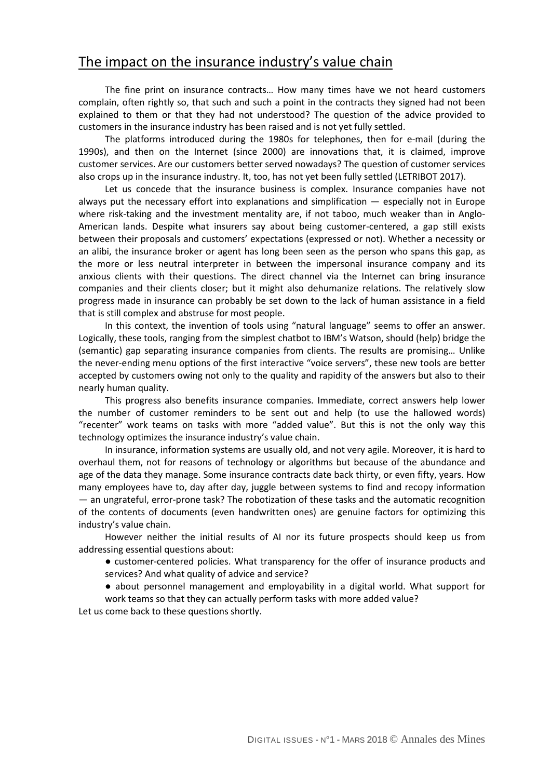### The impact on the insurance industry's value chain

The fine print on insurance contracts… How many times have we not heard customers complain, often rightly so, that such and such a point in the contracts they signed had not been explained to them or that they had not understood? The question of the advice provided to customers in the insurance industry has been raised and is not yet fully settled.

The platforms introduced during the 1980s for telephones, then for e-mail (during the 1990s), and then on the Internet (since 2000) are innovations that, it is claimed, improve customer services. Are our customers better served nowadays? The question of customer services also crops up in the insurance industry. It, too, has not yet been fully settled (LETRIBOT 2017).

Let us concede that the insurance business is complex. Insurance companies have not always put the necessary effort into explanations and simplification — especially not in Europe where risk-taking and the investment mentality are, if not taboo, much weaker than in Anglo-American lands. Despite what insurers say about being customer-centered, a gap still exists between their proposals and customers' expectations (expressed or not). Whether a necessity or an alibi, the insurance broker or agent has long been seen as the person who spans this gap, as the more or less neutral interpreter in between the impersonal insurance company and its anxious clients with their questions. The direct channel via the Internet can bring insurance companies and their clients closer; but it might also dehumanize relations. The relatively slow progress made in insurance can probably be set down to the lack of human assistance in a field that is still complex and abstruse for most people.

In this context, the invention of tools using "natural language" seems to offer an answer. Logically, these tools, ranging from the simplest chatbot to IBM's Watson, should (help) bridge the (semantic) gap separating insurance companies from clients. The results are promising… Unlike the never-ending menu options of the first interactive "voice servers", these new tools are better accepted by customers owing not only to the quality and rapidity of the answers but also to their nearly human quality.

This progress also benefits insurance companies. Immediate, correct answers help lower the number of customer reminders to be sent out and help (to use the hallowed words) "recenter" work teams on tasks with more "added value". But this is not the only way this technology optimizes the insurance industry's value chain.

In insurance, information systems are usually old, and not very agile. Moreover, it is hard to overhaul them, not for reasons of technology or algorithms but because of the abundance and age of the data they manage. Some insurance contracts date back thirty, or even fifty, years. How many employees have to, day after day, juggle between systems to find and recopy information — an ungrateful, error-prone task? The robotization of these tasks and the automatic recognition of the contents of documents (even handwritten ones) are genuine factors for optimizing this industry's value chain.

However neither the initial results of AI nor its future prospects should keep us from addressing essential questions about:

● customer-centered policies. What transparency for the offer of insurance products and services? And what quality of advice and service?

● about personnel management and employability in a digital world. What support for work teams so that they can actually perform tasks with more added value?

Let us come back to these questions shortly.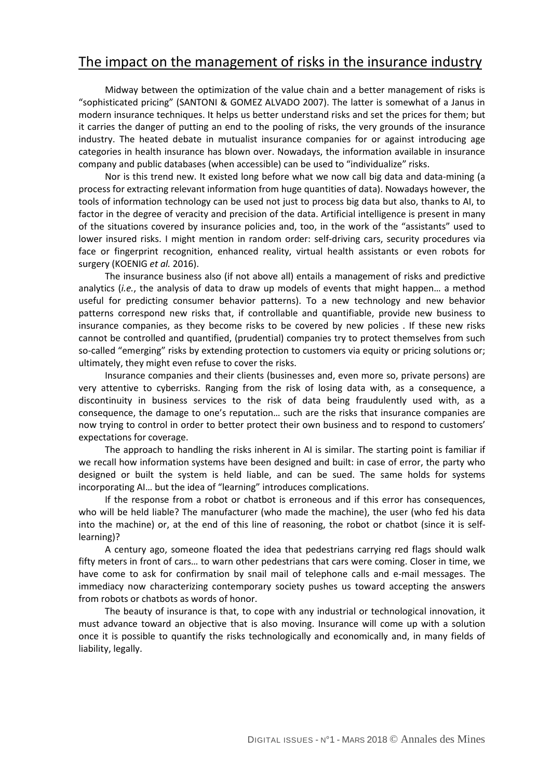## The impact on the management of risks in the insurance industry

Midway between the optimization of the value chain and a better management of risks is "sophisticated pricing" (SANTONI & GOMEZ ALVADO 2007). The latter is somewhat of a Janus in modern insurance techniques. It helps us better understand risks and set the prices for them; but it carries the danger of putting an end to the pooling of risks, the very grounds of the insurance industry. The heated debate in mutualist insurance companies for or against introducing age categories in health insurance has blown over. Nowadays, the information available in insurance company and public databases (when accessible) can be used to "individualize" risks.

Nor is this trend new. It existed long before what we now call big data and data-mining (a process for extracting relevant information from huge quantities of data). Nowadays however, the tools of information technology can be used not just to process big data but also, thanks to AI, to factor in the degree of veracity and precision of the data. Artificial intelligence is present in many of the situations covered by insurance policies and, too, in the work of the "assistants" used to lower insured risks. I might mention in random order: self-driving cars, security procedures via face or fingerprint recognition, enhanced reality, virtual health assistants or even robots for surgery (KOENIG *et al.* 2016).

The insurance business also (if not above all) entails a management of risks and predictive analytics (*i.e.*, the analysis of data to draw up models of events that might happen… a method useful for predicting consumer behavior patterns). To a new technology and new behavior patterns correspond new risks that, if controllable and quantifiable, provide new business to insurance companies, as they become risks to be covered by new policies . If these new risks cannot be controlled and quantified, (prudential) companies try to protect themselves from such so-called "emerging" risks by extending protection to customers via equity or pricing solutions or; ultimately, they might even refuse to cover the risks.

Insurance companies and their clients (businesses and, even more so, private persons) are very attentive to cyberrisks. Ranging from the risk of losing data with, as a consequence, a discontinuity in business services to the risk of data being fraudulently used with, as a consequence, the damage to one's reputation… such are the risks that insurance companies are now trying to control in order to better protect their own business and to respond to customers' expectations for coverage.

The approach to handling the risks inherent in AI is similar. The starting point is familiar if we recall how information systems have been designed and built: in case of error, the party who designed or built the system is held liable, and can be sued. The same holds for systems incorporating AI… but the idea of "learning" introduces complications.

If the response from a robot or chatbot is erroneous and if this error has consequences, who will be held liable? The manufacturer (who made the machine), the user (who fed his data into the machine) or, at the end of this line of reasoning, the robot or chatbot (since it is selflearning)?

A century ago, someone floated the idea that pedestrians carrying red flags should walk fifty meters in front of cars… to warn other pedestrians that cars were coming. Closer in time, we have come to ask for confirmation by snail mail of telephone calls and e-mail messages. The immediacy now characterizing contemporary society pushes us toward accepting the answers from robots or chatbots as words of honor.

The beauty of insurance is that, to cope with any industrial or technological innovation, it must advance toward an objective that is also moving. Insurance will come up with a solution once it is possible to quantify the risks technologically and economically and, in many fields of liability, legally.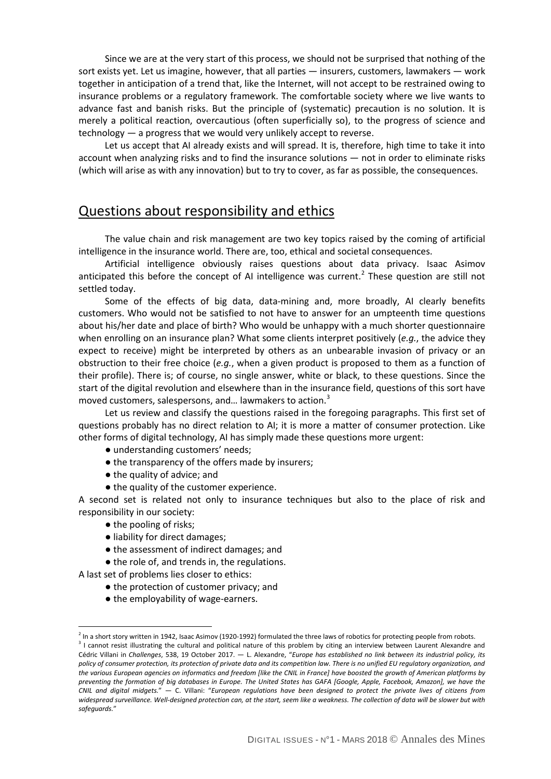Since we are at the very start of this process, we should not be surprised that nothing of the sort exists yet. Let us imagine, however, that all parties — insurers, customers, lawmakers — work together in anticipation of a trend that, like the Internet, will not accept to be restrained owing to insurance problems or a regulatory framework. The comfortable society where we live wants to advance fast and banish risks. But the principle of (systematic) precaution is no solution. It is merely a political reaction, overcautious (often superficially so), to the progress of science and technology — a progress that we would very unlikely accept to reverse.

Let us accept that AI already exists and will spread. It is, therefore, high time to take it into account when analyzing risks and to find the insurance solutions — not in order to eliminate risks (which will arise as with any innovation) but to try to cover, as far as possible, the consequences.

#### Questions about responsibility and ethics

The value chain and risk management are two key topics raised by the coming of artificial intelligence in the insurance world. There are, too, ethical and societal consequences.

Artificial intelligence obviously raises questions about data privacy. Isaac Asimov anticipated this before the concept of AI intelligence was current.<sup>[2](#page-3-0)</sup> These question are still not settled today.

Some of the effects of big data, data-mining and, more broadly, AI clearly benefits customers. Who would not be satisfied to not have to answer for an umpteenth time questions about his/her date and place of birth? Who would be unhappy with a much shorter questionnaire when enrolling on an insurance plan? What some clients interpret positively (*e.g.*, the advice they expect to receive) might be interpreted by others as an unbearable invasion of privacy or an obstruction to their free choice (*e.g.*, when a given product is proposed to them as a function of their profile). There is; of course, no single answer, white or black, to these questions. Since the start of the digital revolution and elsewhere than in the insurance field, questions of this sort have moved customers, salespersons, and... lawmakers to action.<sup>[3](#page-3-1)</sup>

Let us review and classify the questions raised in the foregoing paragraphs. This first set of questions probably has no direct relation to AI; it is more a matter of consumer protection. Like other forms of digital technology, AI has simply made these questions more urgent:

- understanding customers' needs;
- $\bullet$  the transparency of the offers made by insurers;
- the quality of advice; and
- the quality of the customer experience.

A second set is related not only to insurance techniques but also to the place of risk and responsibility in our society:

● the pooling of risks;

 $\overline{a}$ 

- liability for direct damages;
- the assessment of indirect damages; and
- the role of, and trends in, the regulations.

A last set of problems lies closer to ethics:

- the protection of customer privacy; and
- the employability of wage-earners.

<span id="page-3-0"></span> $^2$  In a short story written in 1942, Isaac Asimov (1920-1992) formulated the three laws of robotics for protecting people from robots.

<span id="page-3-1"></span><sup>&</sup>lt;sup>3</sup> I cannot resist illustrating the cultural and political nature of this problem by citing an interview between Laurent Alexandre and Cédric Villani in *Challenges*, 538, 19 October 2017. — L. Alexandre, "*Europe has established no link between its industrial policy, its policy of consumer protection, its protection of private data and its competition law. There is no unified EU regulatory organization, and the various European agencies on informatics and freedom [like the CNIL in France] have boosted the growth of American platforms by preventing the formation of big databases in Europe. The United States has GAFA [Google, Apple, Facebook, Amazon], we have the CNIL and digital midgets.*" — C. Villani: "*European regulations have been designed to protect the private lives of citizens from widespread surveillance. Well-designed protection can, at the start, seem like a weakness. The collection of data will be slower but with safeguards.*"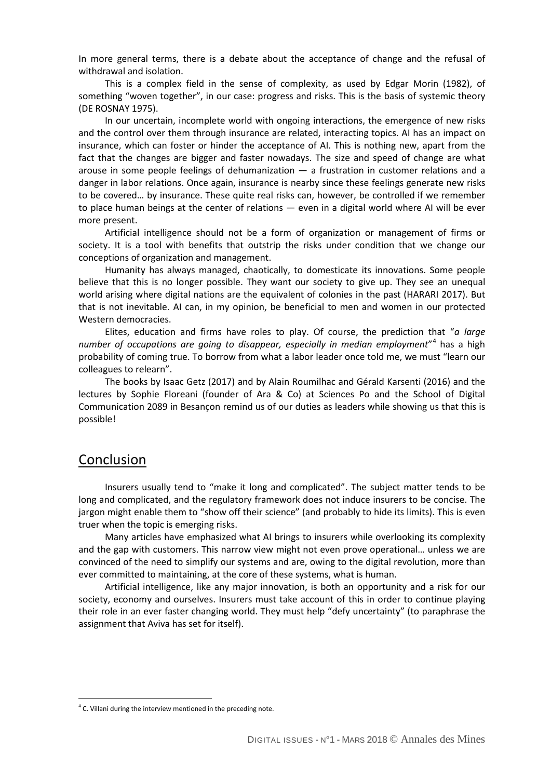In more general terms, there is a debate about the acceptance of change and the refusal of withdrawal and isolation.

This is a complex field in the sense of complexity, as used by Edgar Morin (1982), of something "woven together", in our case: progress and risks. This is the basis of systemic theory (DE ROSNAY 1975).

In our uncertain, incomplete world with ongoing interactions, the emergence of new risks and the control over them through insurance are related, interacting topics. AI has an impact on insurance, which can foster or hinder the acceptance of AI. This is nothing new, apart from the fact that the changes are bigger and faster nowadays. The size and speed of change are what arouse in some people feelings of dehumanization — a frustration in customer relations and a danger in labor relations. Once again, insurance is nearby since these feelings generate new risks to be covered… by insurance. These quite real risks can, however, be controlled if we remember to place human beings at the center of relations — even in a digital world where AI will be ever more present.

Artificial intelligence should not be a form of organization or management of firms or society. It is a tool with benefits that outstrip the risks under condition that we change our conceptions of organization and management.

Humanity has always managed, chaotically, to domesticate its innovations. Some people believe that this is no longer possible. They want our society to give up. They see an unequal world arising where digital nations are the equivalent of colonies in the past (HARARI 2017). But that is not inevitable. AI can, in my opinion, be beneficial to men and women in our protected Western democracies.

Elites, education and firms have roles to play. Of course, the prediction that "*a large number of occupations are going to disappear, especially in median employment*"[4](#page-4-0) has a high probability of coming true. To borrow from what a labor leader once told me, we must "learn our colleagues to relearn".

The books by Isaac Getz (2017) and by Alain Roumilhac and Gérald Karsenti (2016) and the lectures by Sophie Floreani (founder of Ara & Co) at Sciences Po and the School of Digital Communication 2089 in Besançon remind us of our duties as leaders while showing us that this is possible!

#### Conclusion

 $\overline{a}$ 

Insurers usually tend to "make it long and complicated". The subject matter tends to be long and complicated, and the regulatory framework does not induce insurers to be concise. The jargon might enable them to "show off their science" (and probably to hide its limits). This is even truer when the topic is emerging risks.

Many articles have emphasized what AI brings to insurers while overlooking its complexity and the gap with customers. This narrow view might not even prove operational… unless we are convinced of the need to simplify our systems and are, owing to the digital revolution, more than ever committed to maintaining, at the core of these systems, what is human.

Artificial intelligence, like any major innovation, is both an opportunity and a risk for our society, economy and ourselves. Insurers must take account of this in order to continue playing their role in an ever faster changing world. They must help "defy uncertainty" (to paraphrase the assignment that Aviva has set for itself).

<span id="page-4-0"></span> $4$  C. Villani during the interview mentioned in the preceding note.